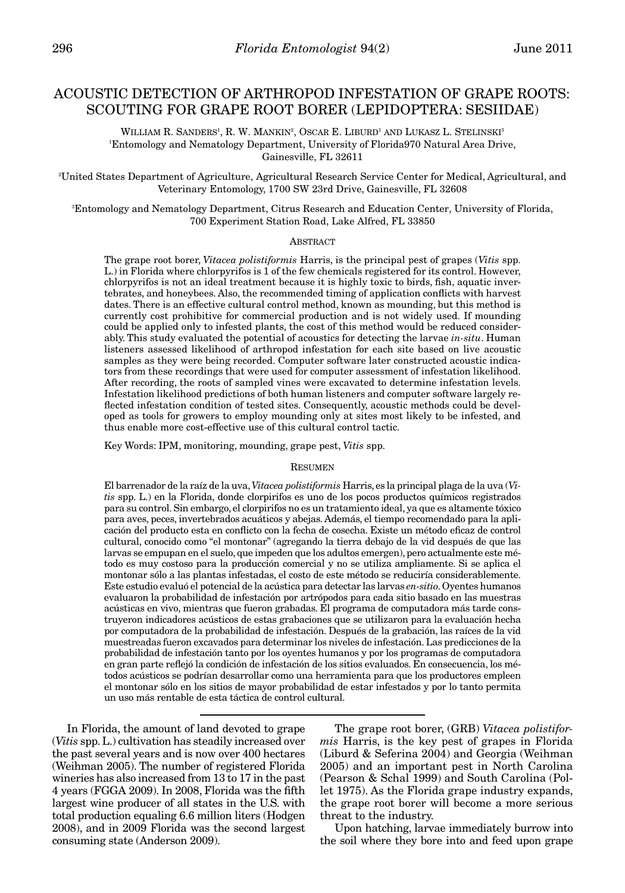# ACOUSTIC DETECTION OF ARTHROPOD INFESTATION OF GRAPE ROOTS: SCOUTING FOR GRAPE ROOT BORER (LEPIDOPTERA: SESIIDAE)

WILLIAM R. SANDERS<sup>1</sup>, R. W. MANKIN<sup>2</sup>, OSCAR E. LIBURD<sup>1</sup> AND LUKASZ L. STELINSKI<sup>3</sup> 1 Entomology and Nematology Department, University of Florida970 Natural Area Drive, Gainesville, FL 32611

2 United States Department of Agriculture, Agricultural Research Service Center for Medical, Agricultural, and Veterinary Entomology, 1700 SW 23rd Drive, Gainesville, FL 32608

3 Entomology and Nematology Department, Citrus Research and Education Center, University of Florida, 700 Experiment Station Road, Lake Alfred, FL 33850

# ABSTRACT

The grape root borer, *Vitacea polistiformis* Harris, is the principal pest of grapes (*Vitis* spp. L.) in Florida where chlorpyrifos is 1 of the few chemicals registered for its control. However, chlorpyrifos is not an ideal treatment because it is highly toxic to birds, fish, aquatic invertebrates, and honeybees. Also, the recommended timing of application conflicts with harvest dates. There is an effective cultural control method, known as mounding, but this method is currently cost prohibitive for commercial production and is not widely used. If mounding could be applied only to infested plants, the cost of this method would be reduced considerably. This study evaluated the potential of acoustics for detecting the larvae *in-situ*. Human listeners assessed likelihood of arthropod infestation for each site based on live acoustic samples as they were being recorded. Computer software later constructed acoustic indicators from these recordings that were used for computer assessment of infestation likelihood. After recording, the roots of sampled vines were excavated to determine infestation levels. Infestation likelihood predictions of both human listeners and computer software largely reflected infestation condition of tested sites. Consequently, acoustic methods could be developed as tools for growers to employ mounding only at sites most likely to be infested, and thus enable more cost-effective use of this cultural control tactic.

Key Words: IPM, monitoring, mounding, grape pest, *Vitis* spp.

#### **RESUMEN**

El barrenador de la raíz de la uva, *Vitacea polistiformis* Harris, es la principal plaga de la uva (*Vitis* spp. L.) en la Florida, donde clorpirifos es uno de los pocos productos químicos registrados para su control. Sin embargo, el clorpirifos no es un tratamiento ideal, ya que es altamente tóxico para aves, peces, invertebrados acuáticos y abejas. Además, el tiempo recomendado para la aplicación del producto esta en conflicto con la fecha de cosecha. Existe un método eficaz de control cultural, conocido como "el montonar" (agregando la tierra debajo de la vid después de que las larvas se empupan en el suelo, que impeden que los adultos emergen), pero actualmente este método es muy costoso para la producción comercial y no se utiliza ampliamente. Si se aplica el montonar sólo a las plantas infestadas, el costo de este método se reduciría considerablemente. Este estudio evaluó el potencial de la acústica para detectar las larvas *en-sitio*. Oyentes humanos evaluaron la probabilidad de infestación por artrópodos para cada sitio basado en las muestras acústicas en vivo, mientras que fueron grabadas. El programa de computadora más tarde construyeron indicadores acústicos de estas grabaciones que se utilizaron para la evaluación hecha por computadora de la probabilidad de infestación. Después de la grabación, las raíces de la vid muestreadas fueron excavados para determinar los niveles de infestación. Las predicciones de la probabilidad de infestación tanto por los oyentes humanos y por los programas de computadora en gran parte reflejó la condición de infestación de los sitios evaluados. En consecuencia, los métodos acústicos se podrían desarrollar como una herramienta para que los productores empleen el montonar sólo en los sitios de mayor probabilidad de estar infestados y por lo tanto permita un uso más rentable de esta táctica de control cultural.

In Florida, the amount of land devoted to grape (*Vitis* spp. L.) cultivation has steadily increased over the past several years and is now over 400 hectares (Weihman 2005). The number of registered Florida wineries has also increased from 13 to 17 in the past 4 years (FGGA 2009). In 2008, Florida was the fifth largest wine producer of all states in the U.S. with total production equaling 6.6 million liters (Hodgen 2008), and in 2009 Florida was the second largest consuming state (Anderson 2009).

The grape root borer, (GRB) *Vitacea polistiformis* Harris, is the key pest of grapes in Florida (Liburd & Seferina 2004) and Georgia (Weihman 2005) and an important pest in North Carolina (Pearson & Schal 1999) and South Carolina (Pollet 1975). As the Florida grape industry expands, the grape root borer will become a more serious threat to the industry.

Upon hatching, larvae immediately burrow into the soil where they bore into and feed upon grape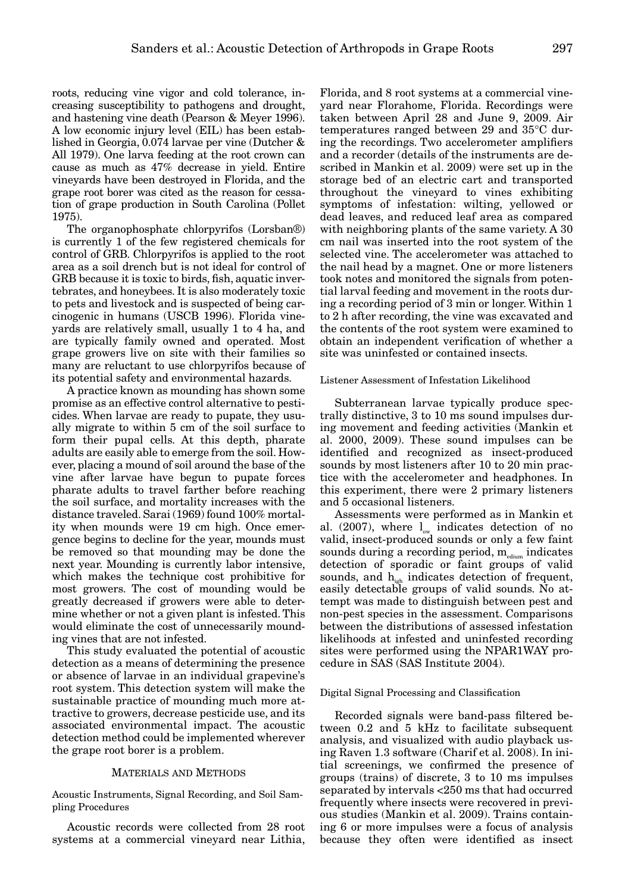roots, reducing vine vigor and cold tolerance, increasing susceptibility to pathogens and drought, and hastening vine death (Pearson & Meyer 1996). A low economic injury level (EIL) has been established in Georgia, 0.074 larvae per vine (Dutcher & All 1979). One larva feeding at the root crown can cause as much as 47% decrease in yield. Entire vineyards have been destroyed in Florida, and the grape root borer was cited as the reason for cessation of grape production in South Carolina (Pollet 1975).

The organophosphate chlorpyrifos (Lorsban®) is currently 1 of the few registered chemicals for control of GRB. Chlorpyrifos is applied to the root area as a soil drench but is not ideal for control of GRB because it is toxic to birds, fish, aquatic invertebrates, and honeybees. It is also moderately toxic to pets and livestock and is suspected of being carcinogenic in humans (USCB 1996). Florida vineyards are relatively small, usually 1 to 4 ha, and are typically family owned and operated. Most grape growers live on site with their families so many are reluctant to use chlorpyrifos because of its potential safety and environmental hazards.

A practice known as mounding has shown some promise as an effective control alternative to pesticides. When larvae are ready to pupate, they usually migrate to within 5 cm of the soil surface to form their pupal cells. At this depth, pharate adults are easily able to emerge from the soil. However, placing a mound of soil around the base of the vine after larvae have begun to pupate forces pharate adults to travel farther before reaching the soil surface, and mortality increases with the distance traveled. Sarai (1969) found 100% mortality when mounds were 19 cm high. Once emergence begins to decline for the year, mounds must be removed so that mounding may be done the next year. Mounding is currently labor intensive, which makes the technique cost prohibitive for most growers. The cost of mounding would be greatly decreased if growers were able to determine whether or not a given plant is infested. This would eliminate the cost of unnecessarily mounding vines that are not infested.

This study evaluated the potential of acoustic detection as a means of determining the presence or absence of larvae in an individual grapevine's root system. This detection system will make the sustainable practice of mounding much more attractive to growers, decrease pesticide use, and its associated environmental impact. The acoustic detection method could be implemented wherever the grape root borer is a problem.

## MATERIALS AND METHODS

Acoustic Instruments, Signal Recording, and Soil Sampling Procedures

Acoustic records were collected from 28 root systems at a commercial vineyard near Lithia,

Florida, and 8 root systems at a commercial vineyard near Florahome, Florida. Recordings were taken between April 28 and June 9, 2009. Air temperatures ranged between 29 and 35°C during the recordings. Two accelerometer amplifiers and a recorder (details of the instruments are described in Mankin et al. 2009) were set up in the storage bed of an electric cart and transported throughout the vineyard to vines exhibiting symptoms of infestation: wilting, yellowed or dead leaves, and reduced leaf area as compared with neighboring plants of the same variety. A 30 cm nail was inserted into the root system of the selected vine. The accelerometer was attached to the nail head by a magnet. One or more listeners took notes and monitored the signals from potential larval feeding and movement in the roots during a recording period of 3 min or longer. Within 1 to 2 h after recording, the vine was excavated and the contents of the root system were examined to obtain an independent verification of whether a site was uninfested or contained insects.

## Listener Assessment of Infestation Likelihood

Subterranean larvae typically produce spectrally distinctive, 3 to 10 ms sound impulses during movement and feeding activities (Mankin et al. 2000, 2009). These sound impulses can be identified and recognized as insect-produced sounds by most listeners after 10 to 20 min practice with the accelerometer and headphones. In this experiment, there were 2 primary listeners and 5 occasional listeners.

Assessments were performed as in Mankin et al. (2007), where  $l_{ow}$  indicates detection of no valid, insect-produced sounds or only a few faint sounds during a recording period,  $m_{\text{edium}}$  indicates detection of sporadic or faint groups of valid sounds, and  $h_{\text{igh}}$  indicates detection of frequent, easily detectable groups of valid sounds. No attempt was made to distinguish between pest and non-pest species in the assessment. Comparisons between the distributions of assessed infestation likelihoods at infested and uninfested recording sites were performed using the NPAR1WAY procedure in SAS (SAS Institute 2004).

#### Digital Signal Processing and Classification

Recorded signals were band-pass filtered between 0.2 and 5 kHz to facilitate subsequent analysis, and visualized with audio playback using Raven 1.3 software (Charif et al. 2008). In initial screenings, we confirmed the presence of groups (trains) of discrete, 3 to 10 ms impulses separated by intervals <250 ms that had occurred frequently where insects were recovered in previous studies (Mankin et al. 2009). Trains containing 6 or more impulses were a focus of analysis because they often were identified as insect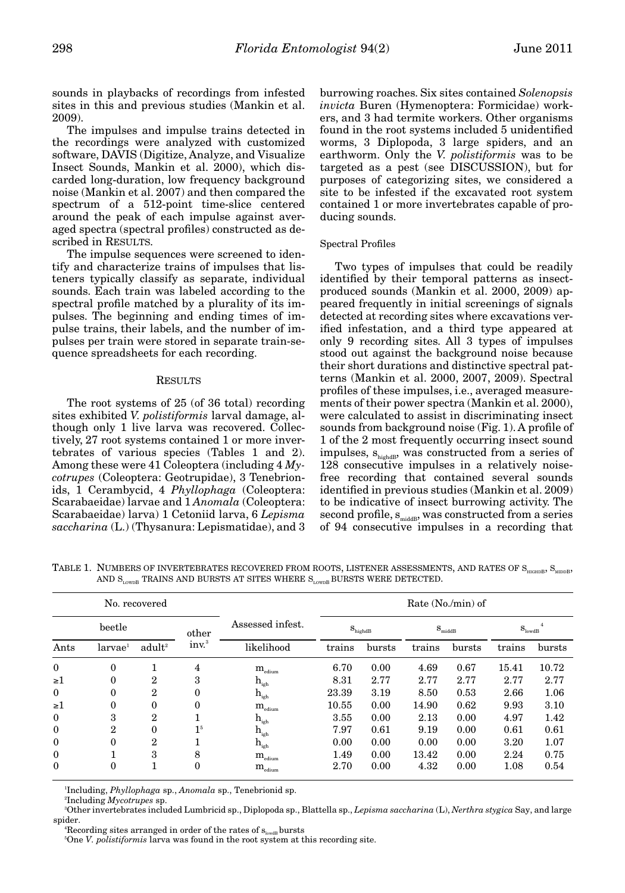sounds in playbacks of recordings from infested sites in this and previous studies (Mankin et al. 2009).

The impulses and impulse trains detected in the recordings were analyzed with customized software, DAVIS (Digitize, Analyze, and Visualize Insect Sounds, Mankin et al. 2000), which discarded long-duration, low frequency background noise (Mankin et al. 2007) and then compared the spectrum of a 512-point time-slice centered around the peak of each impulse against averaged spectra (spectral profiles) constructed as described in RESULTS.

The impulse sequences were screened to identify and characterize trains of impulses that listeners typically classify as separate, individual sounds. Each train was labeled according to the spectral profile matched by a plurality of its impulses. The beginning and ending times of impulse trains, their labels, and the number of impulses per train were stored in separate train-sequence spreadsheets for each recording.

#### **RESULTS**

The root systems of 25 (of 36 total) recording sites exhibited *V. polistiformis* larval damage, although only 1 live larva was recovered. Collectively, 27 root systems contained 1 or more invertebrates of various species (Tables 1 and 2). Among these were 41 Coleoptera (including 4 *Mycotrupes* (Coleoptera: Geotrupidae), 3 Tenebrionids, 1 Cerambycid, 4 *Phyllophaga* (Coleoptera: Scarabaeidae) larvae and 1 *Anomala* (Coleoptera: Scarabaeidae) larva) 1 Cetoniid larva, 6 *Lepisma saccharina* (L.) (Thysanura: Lepismatidae), and 3

burrowing roaches. Six sites contained *Solenopsis invicta* Buren (Hymenoptera: Formicidae) workers, and 3 had termite workers. Other organisms found in the root systems included 5 unidentified worms, 3 Diplopoda, 3 large spiders, and an earthworm. Only the *V. polistiformis* was to be targeted as a pest (see DISCUSSION), but for purposes of categorizing sites, we considered a site to be infested if the excavated root system contained 1 or more invertebrates capable of producing sounds.

# Spectral Profiles

Two types of impulses that could be readily identified by their temporal patterns as insectproduced sounds (Mankin et al. 2000, 2009) appeared frequently in initial screenings of signals detected at recording sites where excavations verified infestation, and a third type appeared at only 9 recording sites. All 3 types of impulses stood out against the background noise because their short durations and distinctive spectral patterns (Mankin et al. 2000, 2007, 2009). Spectral profiles of these impulses, i.e., averaged measurements of their power spectra (Mankin et al. 2000), were calculated to assist in discriminating insect sounds from background noise (Fig. 1). A profile of 1 of the 2 most frequently occurring insect sound impulses,  $s_{\text{highdB}}$ , was constructed from a series of 128 consecutive impulses in a relatively noisefree recording that contained several sounds identified in previous studies (Mankin et al. 2009) to be indicative of insect burrowing activity. The second profile,  $s_{\text{middle}}$ , was constructed from a series of 94 consecutive impulses in a recording that

TABLE 1. NUMBERS OF INVERTEBRATES RECOVERED FROM ROOTS, LISTENER ASSESSMENTS, AND RATES OF S<sub>HIGHDB</sub>, S<sub>MIDDB</sub>, AND  $S_{\text{LownB}}$  TRAINS AND BURSTS AT SITES WHERE  $S_{\text{LownB}}$  BURSTS WERE DETECTED.

| No. recovered |                     |                    |                  |                                    | Rate (No./min) of |                     |        |                    |        |        |
|---------------|---------------------|--------------------|------------------|------------------------------------|-------------------|---------------------|--------|--------------------|--------|--------|
| beetle        |                     | other              | Assessed infest. | $\mathbf{S}_\text{highdB}$         |                   | $S_{\text{middle}}$ |        | S <sub>lowdB</sub> |        |        |
| Ants          | larvae <sup>1</sup> | adult <sup>2</sup> | $inv^3$          | likelihood                         | trains            | bursts              | trains | bursts             | trains | bursts |
| $\mathbf{0}$  | $\mathbf{0}$        |                    | $\overline{4}$   | $\rm m_{\rm edium}$                | 6.70              | 0.00                | 4.69   | 0.67               | 15.41  | 10.72  |
| $\geq 1$      | $\theta$            | $\mathbf{2}$       | 3                | $\mathbf{h}_{_{\mathrm{igh}}}$     | 8.31              | 2.77                | 2.77   | 2.77               | 2.77   | 2.77   |
| $\mathbf{0}$  | $\theta$            | $\mathbf{2}$       | $\mathbf{0}$     | $\mathbf{h}_{\text{igh}}$          | 23.39             | 3.19                | 8.50   | 0.53               | 2.66   | 1.06   |
| $\geq 1$      | $\theta$            | $\mathbf{0}$       | $\Omega$         | $\mathbf{m}_{\text{\tiny{edium}}}$ | 10.55             | 0.00                | 14.90  | 0.62               | 9.93   | 3.10   |
| $\theta$      | 3                   | $\mathbf{2}$       |                  | $\mathbf{h}_{_{\mathrm{igh}}}$     | 3.55              | 0.00                | 2.13   | 0.00               | 4.97   | 1.42   |
| $\mathbf{0}$  | $\overline{2}$      | $\theta$           | 1 <sup>5</sup>   | $\mathbf{h}_{\text{igh}}$          | 7.97              | 0.61                | 9.19   | 0.00               | 0.61   | 0.61   |
| $\mathbf{0}$  | $\theta$            | $\mathbf{2}$       |                  | $\mathbf{h}_{\text{igh}}$          | 0.00              | 0.00                | 0.00   | 0.00               | 3.20   | 1.07   |
| $\mathbf{0}$  |                     | 3                  | 8                | $\mathbf{m}_{\text{\tiny{edium}}}$ | 1.49              | 0.00                | 13.42  | 0.00               | 2.24   | 0.75   |
| $\Omega$      | $\theta$            |                    | $\Omega$         | $\rm m_{_{\rm{edium}}}$            | 2.70              | 0.00                | 4.32   | 0.00               | 1.08   | 0.54   |

1 Including, *Phyllophaga* sp., *Anomala* sp., Tenebrionid sp.

2 Including *Mycotrupes* sp.

3 Other invertebrates included Lumbricid sp., Diplopoda sp., Blattella sp., *Lepisma saccharina* (L), *Nerthra stygica* Say, and large spider. 4

Recording sites arranged in order of the rates of  $s_{\text{load}}$  bursts

<sup>5</sup>One *V. polistiformis* larva was found in the root system at this recording site.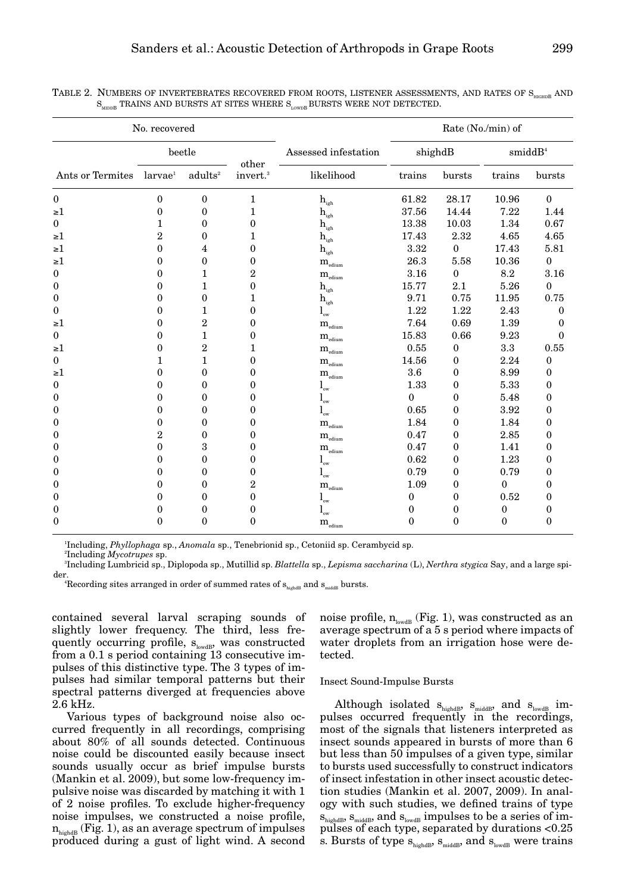|                  | No. recovered       |                     |                               |                                              |              |              | Rate (No./min) of |               |
|------------------|---------------------|---------------------|-------------------------------|----------------------------------------------|--------------|--------------|-------------------|---------------|
|                  |                     | beetle              |                               | Assessed infestation                         |              | shighdB      |                   | $s$ midd $B4$ |
| Ants or Termites | larvae <sup>1</sup> | adults <sup>2</sup> | other<br>invert. <sup>3</sup> | likelihood                                   | trains       | bursts       | trains            | bursts        |
| $\boldsymbol{0}$ | $\theta$            | $\mathbf{0}$        | 1                             | $\mathbf{h}_{\mathrm{igh}}$                  | 61.82        | 28.17        | 10.96             | $\theta$      |
| $\geq 1$         | 0                   | $\mathbf{0}$        | 1                             | $\mathbf{h}_{\mathrm{igh}}$                  | 37.56        | 14.44        | 7.22              | 1.44          |
| $\boldsymbol{0}$ | 1                   | $\mathbf{0}$        | $\mathbf{0}$                  | $\mathbf{h}_{\mathrm{igh}}$                  | 13.38        | 10.03        | 1.34              | 0.67          |
| $\geq 1$         | 2                   | 0                   | 1                             | $\mathbf{h}_{\mathrm{igh}}$                  | 17.43        | 2.32         | 4.65              | 4.65          |
| $\geq 1$         | 0                   | 4                   | $\theta$                      | $\mathbf{h}_{\text{\tiny{igh}}}$             | 3.32         | 0            | 17.43             | 5.81          |
| $\geq 1$         | 0                   | $\mathbf{0}$        | $\Omega$                      | $\mathbf{m}_{\text{\tiny{edium}}}$           | 26.3         | 5.58         | 10.36             | $\mathbf{0}$  |
| $\bf{0}$         | 0                   | 1                   | 2                             | $\mathbf{m}_{\text{\tiny{edium}}}$           | 3.16         | 0            | 8.2               | 3.16          |
| $\bf{0}$         | 0                   | 1                   | 0                             | $h_{\rm{igh}}$                               | 15.77        | 2.1          | 5.26              | $\mathbf{0}$  |
| $\bf{0}$         | 0                   | $\mathbf{0}$        | 1                             | $\mathbf{h}_{\text{igh}}$                    | 9.71         | 0.75         | 11.95             | 0.75          |
| 0                | 0                   | 1                   | $\Omega$                      | $\mathbf{l}_{\textnormal{\tiny{ow}}}$        | 1.22         | 1.22         | 2.43              | 0             |
| $\geq 1$         | 0                   | 2                   | $\theta$                      | $\mathbf{m}_{\text{\tiny{edium}}}$           | 7.64         | 0.69         | 1.39              | 0             |
| $\boldsymbol{0}$ | 0                   | $\mathbf{1}$        | $\boldsymbol{0}$              | $m_{\text{edium}}$                           | 15.83        | 0.66         | 9.23              | $\bf{0}$      |
| $\geq 1$         | 0                   | $\overline{2}$      | 1                             | $\mathbf{m}_{\text{\tiny{edium}}}$           | 0.55         | 0            | 3.3               | 0.55          |
| $\boldsymbol{0}$ | 1                   | $\mathbf{1}$        | 0                             | $\mathbf{m}_{\text{\tiny{edium}}}$           | 14.56        | 0            | 2.24              | 0             |
| $\geq 1$         | 0                   | $\mathbf{0}$        | 0                             | $\mathbf{m}_{\text{\tiny{edium}}}$           | 3.6          | 0            | 8.99              | 0             |
| $\mathbf{0}$     | 0                   | 0                   | 0                             | $\mathbf{l}_{\mathrm{ow}}$                   | 1.33         | 0            | 5.33              | 0             |
| $\bf{0}$         | 0                   | 0                   | 0                             | $\mathbf{l}_{\scriptscriptstyle{\text{ow}}}$ | $\mathbf{0}$ | 0            | 5.48              | 0             |
| $\boldsymbol{0}$ | 0                   | 0                   | 0                             | $\mathbf{l}_{\scriptscriptstyle{\text{ow}}}$ | 0.65         | 0            | 3.92              | 0             |
| $\boldsymbol{0}$ | 0                   | $\mathbf{0}$        | 0                             | $\mathbf{m}_{\text{\tiny{edium}}}$           | 1.84         | 0            | 1.84              | 0             |
| $\boldsymbol{0}$ | 2                   | $\mathbf{0}$        | $\mathbf{0}$                  | $\mathbf{m}_{\textrm{\tiny{edium}}}$         | 0.47         | 0            | 2.85              | 0             |
| $\boldsymbol{0}$ | 0                   | 3                   | $\bf{0}$                      | $m_{_{\text{edium}}}$                        | 0.47         | 0            | 1.41              | 0             |
| $\bf{0}$         | 0                   | $\theta$            | $\theta$                      | $l_{\rm sw}$                                 | 0.62         | 0            | 1.23              | $\theta$      |
| $\boldsymbol{0}$ | 0                   | 0                   | 0                             | $\mathbf{l}_{\scriptscriptstyle{\text{ow}}}$ | 0.79         | 0            | 0.79              | 0             |
| $\boldsymbol{0}$ | 0                   | $\theta$            | 2                             | $\mathbf{m}_{\text{\tiny{edium}}}$           | 1.09         | 0            | $\theta$          | $\theta$      |
| $\bf{0}$         | 0                   | 0                   | $\mathbf{0}$                  | $\mathbf{l}_{\mathrm{ow}}$                   | $\bf{0}$     | 0            | 0.52              | 0             |
| $\mathbf{0}$     | 0                   | $\mathbf{0}$        | $\theta$                      | $l_{\rm sw}$                                 | $\theta$     | $\mathbf{0}$ | $\mathbf{0}$      | 0             |
| $\mathbf{0}$     | $\theta$            | 0                   | $\mathbf{0}$                  | $\mathbf{m}_{\text{\tiny{edium}}}$           | $\theta$     | $\mathbf{0}$ | $\mathbf{0}$      | 0             |

TABLE 2. NUMBERS OF INVERTEBRATES RECOVERED FROM ROOTS, LISTENER ASSESSMENTS, AND RATES OF S<sub>meann</sub> AND  $\mathbf{S}_{\text{MDDB}}$  TRAINS AND BURSTS AT SITES WHERE  $\mathbf{S}_{\text{LowDB}}$  BURSTS WERE NOT DETECTED.

1 Including, *Phyllophaga* sp., *Anomala* sp., Tenebrionid sp., Cetoniid sp. Cerambycid sp. 2 Including *Mycotrupes* sp.

3 Including Lumbricid sp., Diplopoda sp., Mutillid sp. *Blattella* sp., *Lepisma saccharina* (L), *Nerthra stygica* Say, and a large spider.

<sup>4</sup>Recording sites arranged in order of summed rates of  $s_{\text{highdB}}$  and  $s_{\text{middle}}$  bursts.

contained several larval scraping sounds of slightly lower frequency. The third, less frequently occurring profile,  $s_{\text{lowdB}}$ , was constructed from a 0.1 s period containing 13 consecutive impulses of this distinctive type. The 3 types of impulses had similar temporal patterns but their spectral patterns diverged at frequencies above 2.6 kHz.

Various types of background noise also occurred frequently in all recordings, comprising about 80% of all sounds detected. Continuous noise could be discounted easily because insect sounds usually occur as brief impulse bursts (Mankin et al. 2009), but some low-frequency impulsive noise was discarded by matching it with 1 of 2 noise profiles. To exclude higher-frequency noise impulses, we constructed a noise profile,  $n_{\text{hidden}}$  (Fig. 1), as an average spectrum of impulses produced during a gust of light wind. A second noise profile,  $n_{\text{lowdB}}$  (Fig. 1), was constructed as an average spectrum of a 5 s period where impacts of water droplets from an irrigation hose were detected.

## Insect Sound-Impulse Bursts

Although isolated  $s_{\text{hidden}}$ ,  $s_{\text{middle}}$ , and  $s_{\text{lowdB}}$  impulses occurred frequently in the recordings, most of the signals that listeners interpreted as insect sounds appeared in bursts of more than 6 but less than 50 impulses of a given type, similar to bursts used successfully to construct indicators of insect infestation in other insect acoustic detection studies (Mankin et al. 2007, 2009). In analogy with such studies, we defined trains of type  $s<sub>hidden</sub>, s<sub>middle</sub>, and s<sub>lowdB</sub>$  impulses to be a series of impulses of each type, separated by durations <0.25 s. Bursts of type  $s_{\text{hidden}}$ ,  $s_{\text{middle}}$ , and  $s_{\text{lowdB}}$  were trains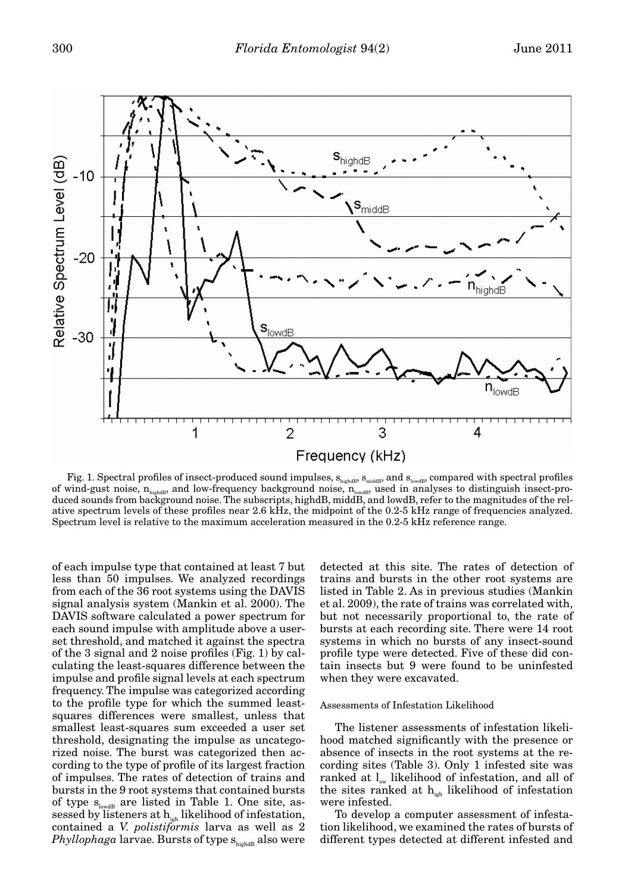

Fig. 1. Spectral profiles of insect-produced sound impulses,  $s_{\text{hidden}}$ ,  $s_{\text{middle}}$ , and  $s_{\text{lower}}$ , compared with spectral profiles of wind-gust noise,  $n_{\text{hidden}}$ , and low-frequency background noise,  $n_{\text{lowdB}}$ , used in analyses to distinguish insect-produced sounds from background noise. The subscripts, highdB, middB, and lowdB, refer to the magnitudes of the relative spectrum levels of these profiles near 2.6 kHz, the midpoint of the 0.2-5 kHz range of frequencies analyzed. Spectrum level is relative to the maximum acceleration measured in the 0.2-5 kHz reference range.

of each impulse type that contained at least 7 but less than 50 impulses. We analyzed recordings from each of the 36 root systems using the DAVIS signal analysis system (Mankin et al. 2000). The DAVIS software calculated a power spectrum for each sound impulse with amplitude above a userset threshold, and matched it against the spectra of the 3 signal and 2 noise profiles (Fig. 1) by calculating the least-squares difference between the impulse and profile signal levels at each spectrum frequency. The impulse was categorized according to the profile type for which the summed leastsquares differences were smallest, unless that smallest least-squares sum exceeded a user set threshold, designating the impulse as uncategorized noise. The burst was categorized then according to the type of profile of its largest fraction of impulses. The rates of detection of trains and bursts in the 9 root systems that contained bursts of type  $s_{\text{lowdB}}$  are listed in Table 1. One site, assessed by listeners at  $h_{ijk}$  likelihood of infestation, contained a *V. polistiformis* larva as well as 2 *Phyllophaga* larvae. Bursts of type s<sub>highdB</sub> also were detected at this site. The rates of detection of trains and bursts in the other root systems are listed in Table 2. As in previous studies (Mankin et al. 2009), the rate of trains was correlated with, but not necessarily proportional to, the rate of bursts at each recording site. There were 14 root systems in which no bursts of any insect-sound profile type were detected. Five of these did contain insects but 9 were found to be uninfested when they were excavated.

# Assessments of Infestation Likelihood

The listener assessments of infestation likelihood matched significantly with the presence or absence of insects in the root systems at the recording sites (Table 3). Only 1 infested site was ranked at  $l_{\infty}$  likelihood of infestation, and all of the sites ranked at  $h_{\text{int}}$  likelihood of infestation were infested.

To develop a computer assessment of infestation likelihood, we examined the rates of bursts of different types detected at different infested and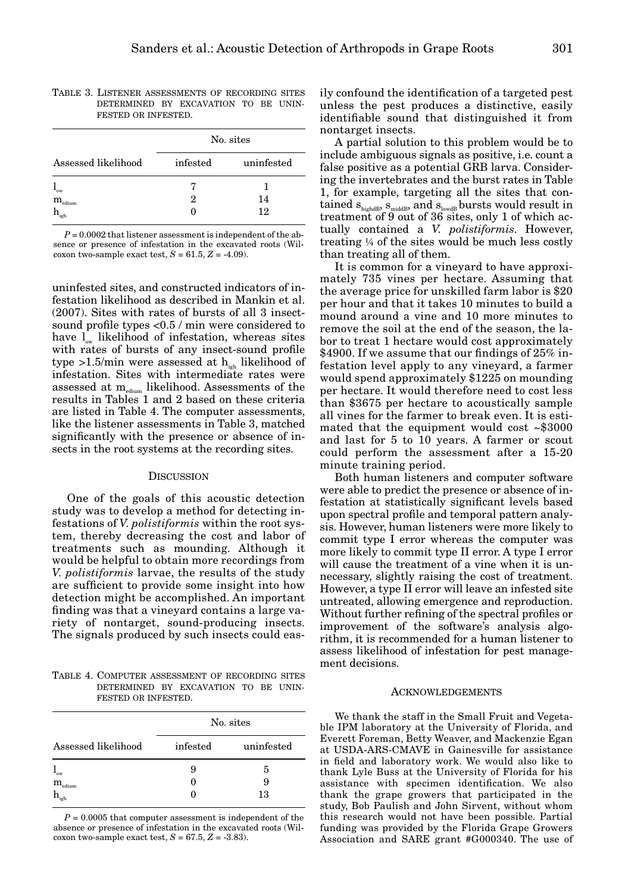|                                      | No. sites |            |  |
|--------------------------------------|-----------|------------|--|
| Assessed likelihood                  | infested  | uninfested |  |
| 'ow                                  |           |            |  |
| $\mathbf{m}_{\textrm{\tiny{edium}}}$ | 2         | 14         |  |
| igh                                  |           | 12         |  |

TABLE 3. LISTENER ASSESSMENTS OF RECORDING SITES DETERMINED BY EXCAVATION TO BE UNIN-FESTED OR INFESTED.

 $P = 0.0002$  that listener assessment is independent of the absence or presence of infestation in the excavated roots (Wilcoxon two-sample exact test,  $S = 61.5, Z = -4.09$ .

uninfested sites, and constructed indicators of infestation likelihood as described in Mankin et al. (2007). Sites with rates of bursts of all 3 insectsound profile types <0.5 / min were considered to have  $l_{\infty}$  likelihood of infestation, whereas sites with rates of bursts of any insect-sound profile type >1.5/min were assessed at  $h_{i,j}$  likelihood of infestation. Sites with intermediate rates were assessed at  $\mathrm{m}_{_{\mathrm{edium}}}$  likelihood. Assessments of the results in Tables 1 and 2 based on these criteria are listed in Table 4. The computer assessments, like the listener assessments in Table 3, matched significantly with the presence or absence of insects in the root systems at the recording sites.

#### **DISCUSSION**

One of the goals of this acoustic detection study was to develop a method for detecting infestations of *V. polistiformis* within the root system, thereby decreasing the cost and labor of treatments such as mounding. Although it would be helpful to obtain more recordings from *V. polistiformis* larvae, the results of the study are sufficient to provide some insight into how detection might be accomplished. An important finding was that a vineyard contains a large variety of nontarget, sound-producing insects. The signals produced by such insects could eas-

TABLE 4. COMPUTER ASSESSMENT OF RECORDING SITES DETERMINED BY EXCAVATION TO BE UNIN-FESTED OR INFESTED.

|                                    | No. sites |            |  |  |
|------------------------------------|-----------|------------|--|--|
| Assessed likelihood                | infested  | uninfested |  |  |
| `ow                                | 9         | 5          |  |  |
| $\mathbf{m}_{\text{\tiny{edium}}}$ | 0         | 9          |  |  |
|                                    |           | 13         |  |  |

 $P = 0.0005$  that computer assessment is independent of the absence or presence of infestation in the excavated roots (Wilcoxon two-sample exact test,  $S=67.5, \, Z=.3.83).$ 

ily confound the identification of a targeted pest unless the pest produces a distinctive, easily identifiable sound that distinguished it from nontarget insects.

A partial solution to this problem would be to include ambiguous signals as positive, i.e. count a false positive as a potential GRB larva. Considering the invertebrates and the burst rates in Table 1, for example, targeting all the sites that contained  $s_{\mbox{\tiny{highdB}}}, s_{\mbox{\tiny{middB}}},$  and  $s_{\mbox{\tiny{lowdB}}}$  bursts would result in treatment of 9 out of 36 sites, only 1 of which actually contained a *V. polistiformis*. However, treating ¼ of the sites would be much less costly than treating all of them.

It is common for a vineyard to have approximately 735 vines per hectare. Assuming that the average price for unskilled farm labor is \$20 per hour and that it takes 10 minutes to build a mound around a vine and 10 more minutes to remove the soil at the end of the season, the labor to treat 1 hectare would cost approximately \$4900. If we assume that our findings of 25% infestation level apply to any vineyard, a farmer would spend approximately \$1225 on mounding per hectare. It would therefore need to cost less than \$3675 per hectare to acoustically sample all vines for the farmer to break even. It is estimated that the equipment would cost ~\$3000 and last for 5 to 10 years. A farmer or scout could perform the assessment after a 15-20 minute training period.

Both human listeners and computer software were able to predict the presence or absence of infestation at statistically significant levels based upon spectral profile and temporal pattern analysis. However, human listeners were more likely to commit type I error whereas the computer was more likely to commit type II error. A type I error will cause the treatment of a vine when it is unnecessary, slightly raising the cost of treatment. However, a type II error will leave an infested site untreated, allowing emergence and reproduction. Without further refining of the spectral profiles or improvement of the software's analysis algorithm, it is recommended for a human listener to assess likelihood of infestation for pest management decisions.

#### ACKNOWLEDGEMENTS

We thank the staff in the Small Fruit and Vegetable IPM laboratory at the University of Florida, and Everett Foreman, Betty Weaver, and Mackenzie Egan at USDA-ARS-CMAVE in Gainesville for assistance in field and laboratory work. We would also like to thank Lyle Buss at the University of Florida for his assistance with specimen identification. We also thank the grape growers that participated in the study, Bob Paulish and John Sirvent, without whom this research would not have been possible. Partial funding was provided by the Florida Grape Growers Association and SARE grant #G000340. The use of